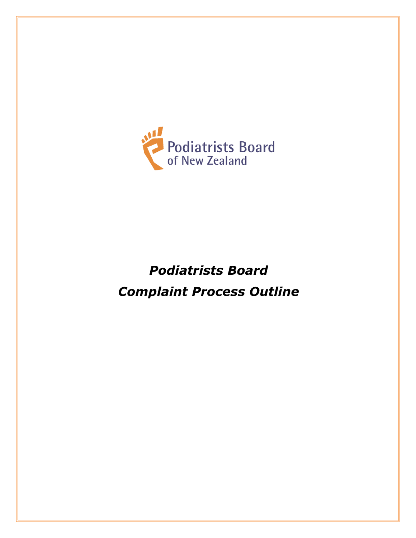

# *Podiatrists Board Complaint Process Outline*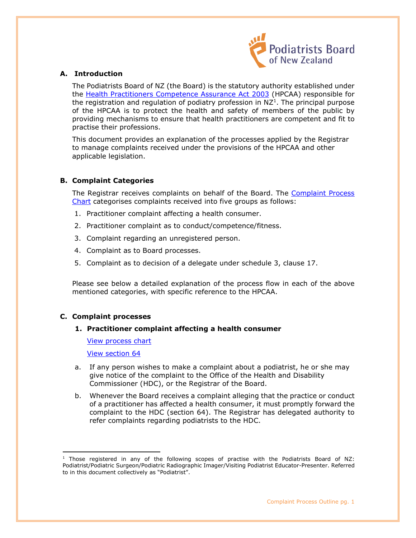

# **A. Introduction**

<span id="page-1-0"></span>The Podiatrists Board of NZ (the Board) is the statutory authority established under the [Health Practitioners Competence Assurance Act 2003](http://www.legislation.govt.nz/act/public/2003/0048/latest/DLM203312.html?search=ta_act_H_ac%40ainf%40anif_an%40bn%40rn_25_a&p=2#DLM203874) (HPCAA) responsible for the registration and regulation of podiatry profession in  $NZ^1$ . The principal purpose of the HPCAA is to protect the health and safety of members of the public by providing mechanisms to ensure that health practitioners are competent and fit to practise their professions.

This document provides an explanation of the processes applied by the Registrar to manage complaints received under the provisions of the HPCAA and other applicable legislation.

# **B. Complaint Categories**

The Registrar receives complaints on behalf of the Board. The Complaint Process [Chart](#page-8-0) categorises complaints received into five groups as follows:

- 1. Practitioner complaint affecting a health consumer.
- 2. Practitioner complaint as to conduct/competence/fitness.
- 3. Complaint regarding an unregistered person.
- 4. Complaint as to Board processes.
- 5. Complaint as to decision of a delegate under schedule 3, clause 17.

Please see below a detailed explanation of the process flow in each of the above mentioned categories, with specific reference to the HPCAA.

# **C. Complaint processes**

#### **1. Practitioner complaint affecting a health consumer**

[View process chart](#page-8-0)

[View section 64](http://www.legislation.govt.nz/act/public/2003/0048/latest/DLM203867.html?search=ta_act_H_ac%40ainf%40anif_an%40bn%40rn_25_a&p=2) 

- a. If any person wishes to make a complaint about a podiatrist, he or she may give notice of the complaint to the Office of the Health and Disability Commissioner (HDC), or the Registrar of the Board.
- b. Whenever the Board receives a complaint alleging that the practice or conduct of a practitioner has affected a health consumer, it must promptly forward the complaint to the HDC (section 64). The Registrar has delegated authority to refer complaints regarding podiatrists to the HDC.

<sup>&</sup>lt;sup>1</sup> Those registered in any of the following scopes of practise with the Podiatrists Board of NZ: Podiatrist/Podiatric Surgeon/Podiatric Radiographic Imager/Visiting Podiatrist Educator-Presenter. Referred to in this document collectively as "Podiatrist".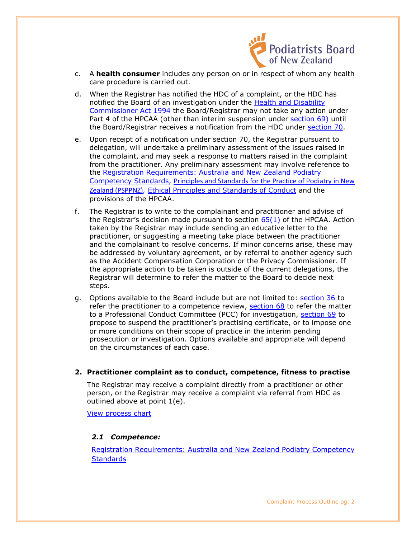

- c. A **health consumer** includes any person on or in respect of whom any health care procedure is carried out.
- d. When the Registrar has notified the HDC of a complaint, or the HDC has notified the Board of an investigation under the [Health and Disability](http://www.legislation.govt.nz/act/public/1994/0088/latest/DLM333584.html)  [Commissioner Act 1994](http://www.legislation.govt.nz/act/public/1994/0088/latest/DLM333584.html) the Board/Registrar may not take any action under Part 4 of the HPCAA (other than interim suspension under [section 69\)](http://www.legislation.govt.nz/act/public/2003/0048/latest/DLM203874.html) until the Board/Registrar receives a notification from the HDC under [section 70.](http://www.legislation.govt.nz/act/public/2003/0048/latest/DLM203875.html?search=ta_act_H_ac%40ainf%40anif_an%40bn%40rn_25_a&p=2)
- e. Upon receipt of a notification under section 70, the Registrar pursuant to delegation, will undertake a preliminary assessment of the issues raised in the complaint, and may seek a response to matters raised in the complaint from the practitioner. Any preliminary assessment may involve reference to the [Registration Requirements: Australia and New Zealand Podiatry](http://www.podiatristsboard.org.nz/includes/download.aspx?ID=115089)  [Competency Standards,](http://www.podiatristsboard.org.nz/includes/download.aspx?ID=115089) [Principles and Standards for the Practice of Podiatry in New](https://www.podiatristsboard.org.nz/Portals/0/PSPPNZ.%20Podiatrists%20Bd%20Principles%20and%20Stds%20for%20the%20Practice%20of%20Podiatry%20in%20NZ.%20April%202019.....pdf?ver=2019-05-08-122224-940)  [Zealand \(PSPPNZ\)](https://www.podiatristsboard.org.nz/Portals/0/PSPPNZ.%20Podiatrists%20Bd%20Principles%20and%20Stds%20for%20the%20Practice%20of%20Podiatry%20in%20NZ.%20April%202019.....pdf?ver=2019-05-08-122224-940)*,* [Ethical Principles and Standards of Conduct](http://www.podiatristsboard.org.nz/includes/download.aspx?ID=111636) and the provisions of the HPCAA.
- f. The Registrar is to write to the complainant and practitioner and advise of the Registrar's decision made pursuant to section [65\(1\)](http://www.legislation.govt.nz/act/public/2003/0048/latest/DLM203869.html?search=ta_act_H_ac%40ainf%40anif_an%40bn%40rn_25_a&p=2) of the HPCAA. Action taken by the Registrar may include sending an educative letter to the practitioner, or suggesting a meeting take place between the practitioner and the complainant to resolve concerns. If minor concerns arise, these may be addressed by voluntary agreement, or by referral to another agency such as the Accident Compensation Corporation or the Privacy Commissioner. If the appropriate action to be taken is outside of the current delegations, the Registrar will determine to refer the matter to the Board to decide next steps.
- g. Options available to the Board include but are not limited to: [section 36](http://www.legislation.govt.nz/act/public/2003/0048/latest/DLM203816.html?search=ta_act_H_ac%40ainf%40anif_an%40bn%40rn_25_a&p=2) to refer the practitioner to a competence review, [section 68](http://www.legislation.govt.nz/act/public/2003/0048/latest/DLM203873.html?search=ta_act_H_ac%40ainf%40anif_an%40bn%40rn_25_a&p=2) to refer the matter to a Professional Conduct Committee (PCC) for investigation, [section 69](http://www.legislation.govt.nz/act/public/2003/0048/latest/DLM203874.html?search=ta_act_H_ac%40ainf%40anif_an%40bn%40rn_25_a&p=2) to propose to suspend the practitioner's practising certificate, or to impose one or more conditions on their scope of practice in the interim pending prosecution or investigation. Options available and appropriate will depend on the circumstances of each case.
- **2. Practitioner complaint as to conduct, competence, fitness to practise**

The Registrar may receive a complaint directly from a practitioner or other person, or the Registrar may receive a complaint via referral from HDC as outlined above at point 1(e).

[View process chart](#page-8-0)

# *2.1 Competence:*

[Registration Requirements: Australia and New Zealand Podiatry Competency](http://www.podiatristsboard.org.nz/includes/download.aspx?ID=115089)  **Standards**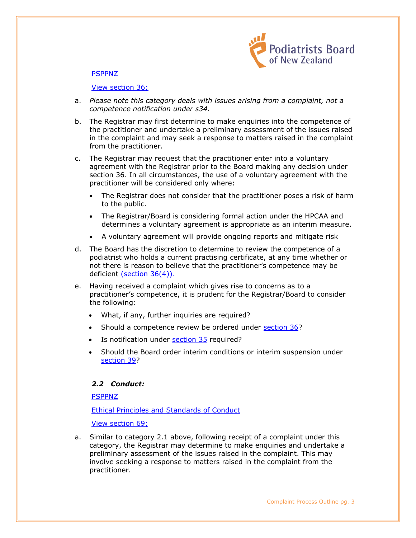

#### **PSPPNZ**

#### [View section 36;](http://www.legislation.govt.nz/act/public/2003/0048/latest/DLM203816.html?search=ta_act_H_ac%40ainf%40anif_an%40bn%40rn_25_a&p=2)

- a. *Please note this category deals with issues arising from a complaint, not a competence notification under s34.*
- b. The Registrar may first determine to make enquiries into the competence of the practitioner and undertake a preliminary assessment of the issues raised in the complaint and may seek a response to matters raised in the complaint from the practitioner.
- c. The Registrar may request that the practitioner enter into a voluntary agreement with the Registrar prior to the Board making any decision under section 36. In all circumstances, the use of a voluntary agreement with the practitioner will be considered only where:
	- The Registrar does not consider that the practitioner poses a risk of harm to the public.
	- The Registrar/Board is considering formal action under the HPCAA and determines a voluntary agreement is appropriate as an interim measure.
	- A voluntary agreement will provide ongoing reports and mitigate risk
- d. The Board has the discretion to determine to review the competence of a podiatrist who holds a current practising certificate, at any time whether or not there is reason to believe that the practitioner's competence may be deficient [\(section 36\(4\)\).](http://www.legislation.govt.nz/act/public/2003/0048/latest/DLM203816.html)
- e. Having received a complaint which gives rise to concerns as to a practitioner's competence, it is prudent for the Registrar/Board to consider the following:
	- What, if any, further inquiries are required?
	- Should a competence review be ordered under [section 36?](http://www.legislation.govt.nz/act/public/2003/0048/latest/DLM203816.html)
	- Is notification under **section 35** required?
	- Should the Board order interim conditions or interim suspension under [section 39?](http://www.legislation.govt.nz/act/public/2003/0048/latest/DLM203819.html)

# *2.2 Conduct:*

[PSPPNZ](https://www.podiatristsboard.org.nz/Portals/0/PSPPNZ.%20Podiatrists%20Bd%20Principles%20and%20Stds%20for%20the%20Practice%20of%20Podiatry%20in%20NZ.%20April%202019.....pdf?ver=2019-05-08-122224-940)

[Ethical Principles and Standards of Conduct](http://www.podiatristsboard.org.nz/includes/download.aspx?ID=111636) 

[View section 69;](http://www.legislation.govt.nz/act/public/2003/0048/latest/DLM203874.html?search=ta_act_H_ac%40ainf%40anif_an%40bn%40rn_25_a&p=2)

a. Similar to category 2.1 above, following receipt of a complaint under this category, the Registrar may determine to make enquiries and undertake a preliminary assessment of the issues raised in the complaint. This may involve seeking a response to matters raised in the complaint from the practitioner.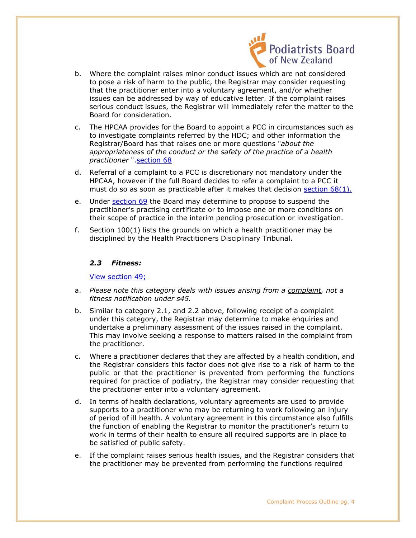

- b. Where the complaint raises minor conduct issues which are not considered to pose a risk of harm to the public, the Registrar may consider requesting that the practitioner enter into a voluntary agreement, and/or whether issues can be addressed by way of educative letter. If the complaint raises serious conduct issues, the Registrar will immediately refer the matter to the Board for consideration.
- c. The HPCAA provides for the Board to appoint a PCC in circumstances such as to investigate complaints referred by the HDC; and other information the Registrar/Board has that raises one or more questions "*about the appropriateness of the conduct or the safety of the practice of a health practitioner* "[.section 68](http://www.legislation.govt.nz/act/public/2003/0048/latest/DLM203873.html)
- d. Referral of a complaint to a PCC is discretionary not mandatory under the HPCAA, however if the full Board decides to refer a complaint to a PCC it must do so as soon as practicable after it makes that decision section  $68(1)$ .
- e. Under [section 69](http://www.legislation.govt.nz/act/public/2003/0048/latest/DLM203874.html?search=ta_act_H_ac%40ainf%40anif_an%40bn%40rn_25_a&p=2) the Board may determine to propose to suspend the practitioner's practising certificate or to impose one or more conditions on their scope of practice in the interim pending prosecution or investigation.
- f. Section 100(1) lists the grounds on which a health practitioner may be disciplined by the Health Practitioners Disciplinary Tribunal.

# *2.3 Fitness:*

[View section 49;](http://www.legislation.govt.nz/act/public/2003/0048/latest/DLM203830.html?search=ta_act_H_ac%40ainf%40anif_an%40bn%40rn_25_a&p=2)

- a. *Please note this category deals with issues arising from a complaint, not a fitness notification under s45.*
- b. Similar to category 2.1, and 2.2 above, following receipt of a complaint under this category, the Registrar may determine to make enquiries and undertake a preliminary assessment of the issues raised in the complaint. This may involve seeking a response to matters raised in the complaint from the practitioner.
- c. Where a practitioner declares that they are affected by a health condition, and the Registrar considers this factor does not give rise to a risk of harm to the public or that the practitioner is prevented from performing the functions required for practice of podiatry, the Registrar may consider requesting that the practitioner enter into a voluntary agreement.
- d. In terms of health declarations, voluntary agreements are used to provide supports to a practitioner who may be returning to work following an injury of period of ill health. A voluntary agreement in this circumstance also fulfills the function of enabling the Registrar to monitor the practitioner's return to work in terms of their health to ensure all required supports are in place to be satisfied of public safety.
- e. If the complaint raises serious health issues, and the Registrar considers that the practitioner may be prevented from performing the functions required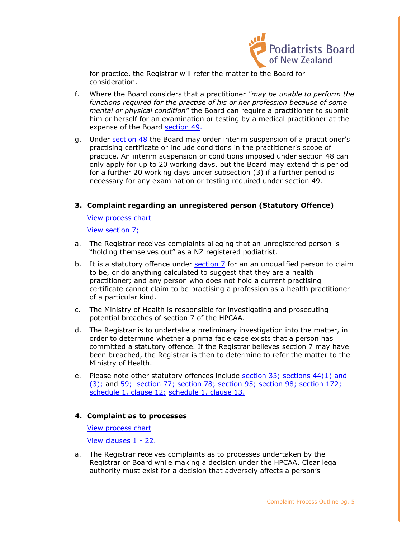

for practice, the Registrar will refer the matter to the Board for consideration.

- f. Where the Board considers that a practitioner *"may be unable to perform the functions required for the practise of his or her profession because of some mental or physical condition"* the Board can require a practitioner to submit him or herself for an examination or testing by a medical practitioner at the expense of the Board [section 49.](http://www.legislation.govt.nz/act/public/2003/0048/latest/DLM203830.html)
- g. Under [section 48](http://www.legislation.govt.nz/act/public/2003/0048/latest/DLM203829.html) the Board may order interim suspension of a practitioner's practising certificate or include conditions in the practitioner's scope of practice. An interim suspension or conditions imposed under section 48 can only apply for up to 20 working days, but the Board may extend this period for a further 20 working days under subsection (3) if a further period is necessary for any examination or testing required under section 49.

# **3. Complaint regarding an unregistered person (Statutory Offence)**

[View process chart](#page-8-0)

[View section 7;](http://www.legislation.govt.nz/act/public/2003/0048/latest/DLM203380.html?search=ta_act_H_ac%40ainf%40anif_an%40bn%40rn_25_a&p=2)

- a. The Registrar receives complaints alleging that an unregistered person is "holding themselves out" as a NZ registered podiatrist.
- b. It is a statutory offence under  $section 7$  for an an unqualified person to claim to be, or do anything calculated to suggest that they are a health practitioner; and any person who does not hold a current practising certificate cannot claim to be practising a profession as a health practitioner of a particular kind.
- c. The Ministry of Health is responsible for investigating and prosecuting potential breaches of section 7 of the HPCAA.
- d. The Registrar is to undertake a preliminary investigation into the matter, in order to determine whether a prima facie case exists that a person has committed a statutory offence. If the Registrar believes section 7 may have been breached, the Registrar is then to determine to refer the matter to the Ministry of Health.
- e. Please note other statutory offences include [section 33;](http://www.legislation.govt.nz/act/public/2003/0048/latest/DLM203810.html) [sections 44\(1\) and](http://www.legislation.govt.nz/act/public/2003/0048/latest/DLM203824.html)  [\(3\);](http://www.legislation.govt.nz/act/public/2003/0048/latest/DLM203824.html) and [59;](http://www.legislation.govt.nz/act/public/2003/0048/latest/DLM203860.html) [section 77;](http://www.legislation.govt.nz/act/public/2003/0048/latest/DLM203883.html) [section 78;](http://www.legislation.govt.nz/act/public/2003/0048/latest/DLM203884.html) [section 95;](http://www.legislation.govt.nz/act/public/2003/0048/latest/DLM204304.html) [section 98;](http://www.legislation.govt.nz/act/public/2003/0048/latest/DLM204307.html) [section 172;](http://www.legislation.govt.nz/act/public/2003/0048/latest/DLM205005.html)  [schedule 1, clause 12;](http://www.legislation.govt.nz/act/public/2003/0048/latest/DLM205223.html) [schedule 1, clause 13.](http://www.legislation.govt.nz/act/public/2003/0048/latest/DLM205224.html)

#### **4. Complaint as to processes**

[View process chart](#page-8-0)

[View clauses 1 - 22.](http://www.legislation.govt.nz/act/public/2003/0048/latest/DLM205230.html?search=ta_act_H_ac%40ainf%40anif_an%40bn%40rn_25_a&p=2) 

a. The Registrar receives complaints as to processes undertaken by the Registrar or Board while making a decision under the HPCAA. Clear legal authority must exist for a decision that adversely affects a person's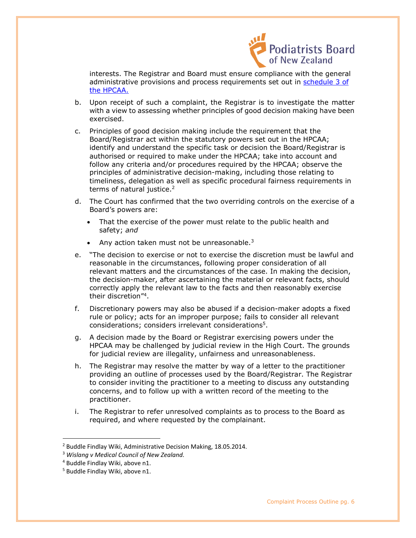

interests. The Registrar and Board must ensure compliance with the general administrative provisions and process requirements set out in [schedule 3 of](http://www.legislation.govt.nz/act/public/2003/0048/latest/DLM205230.html)  [the HPCAA.](http://www.legislation.govt.nz/act/public/2003/0048/latest/DLM205230.html)

- b. Upon receipt of such a complaint, the Registrar is to investigate the matter with a view to assessing whether principles of good decision making have been exercised.
- c. Principles of good decision making include the requirement that the Board/Registrar act within the statutory powers set out in the HPCAA; identify and understand the specific task or decision the Board/Registrar is authorised or required to make under the HPCAA; take into account and follow any criteria and/or procedures required by the HPCAA; observe the principles of administrative decision-making, including those relating to timeliness, delegation as well as specific procedural fairness requirements in terms of natural justice.<sup>2</sup>
- d. The Court has confirmed that the two overriding controls on the exercise of a Board's powers are:
	- That the exercise of the power must relate to the public health and safety; *and*
	- Any action taken must not be unreasonable. $3$
- e. "The decision to exercise or not to exercise the discretion must be lawful and reasonable in the circumstances, following proper consideration of all relevant matters and the circumstances of the case. In making the decision, the decision-maker, after ascertaining the material or relevant facts, should correctly apply the relevant law to the facts and then reasonably exercise their discretion"<sup>4</sup> .
- f. Discretionary powers may also be abused if a decision-maker adopts a fixed rule or policy; acts for an improper purpose; fails to consider all relevant considerations; considers irrelevant considerations<sup>5</sup>.
- g. A decision made by the Board or Registrar exercising powers under the HPCAA may be challenged by judicial review in the High Court. The grounds for judicial review are illegality, unfairness and unreasonableness.
- h. The Registrar may resolve the matter by way of a letter to the practitioner providing an outline of processes used by the Board/Registrar. The Registrar to consider inviting the practitioner to a meeting to discuss any outstanding concerns, and to follow up with a written record of the meeting to the practitioner.
- i. The Registrar to refer unresolved complaints as to process to the Board as required, and where requested by the complainant.

<sup>&</sup>lt;sup>2</sup> Buddle Findlay Wiki, Administrative Decision Making, 18.05.2014.

<sup>3</sup> *Wislang v Medical Council of New Zealand.*

<sup>4</sup> Buddle Findlay Wiki, above n1.

<sup>5</sup> Buddle Findlay Wiki, above n1.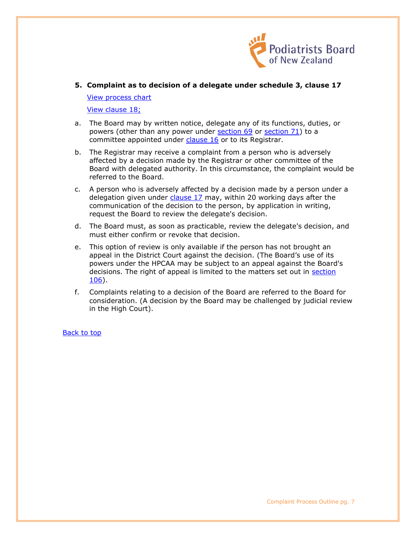

**5. Complaint as to decision of a delegate under schedule 3, clause 17** 

[View process chart](#page-8-0)

[View clause 18;](http://www.legislation.govt.nz/act/public/2003/0048/latest/DLM205256.html?search=ta_act_H_ac%40ainf%40anif_an%40bn%40rn_25_a&p=2)

- a. The Board may by written notice, delegate any of its functions, duties, or powers (other than any power under [section 69](http://www.legislation.govt.nz/act/public/2003/0048/latest/link.aspx?search=ta_act_H_ac%40ainf%40anif_an%40bn%40rn_25_a&p=2&id=DLM203874) or [section 71\)](http://www.legislation.govt.nz/act/public/2003/0048/latest/link.aspx?search=ta_act_H_ac%40ainf%40anif_an%40bn%40rn_25_a&p=2&id=DLM203877) to a committee appointed under [clause 16](http://www.legislation.govt.nz/act/public/2003/0048/latest/link.aspx?search=ta_act_H_ac%40ainf%40anif_an%40bn%40rn_25_a&p=2&id=DLM205254) or to its Registrar.
- b. The Registrar may receive a complaint from a person who is adversely affected by a decision made by the Registrar or other committee of the Board with delegated authority. In this circumstance, the complaint would be referred to the Board.
- c. A person who is adversely affected by a decision made by a person under a delegation given under *clause 17* may, within 20 working days after the communication of the decision to the person, by application in writing, request the Board to review the delegate's decision.
- d. The Board must, as soon as practicable, review the delegate's decision, and must either confirm or revoke that decision.
- e. This option of review is only available if the person has not brought an appeal in the District Court against the decision. (The Board's use of its powers under the HPCAA may be subject to an appeal against the Board's decisions. The right of appeal is limited to the matters set out in [section](http://www.legislation.govt.nz/act/public/2003/0048/latest/DLM204319.html)  [106\)](http://www.legislation.govt.nz/act/public/2003/0048/latest/DLM204319.html).
- f. Complaints relating to a decision of the Board are referred to the Board for consideration. (A decision by the Board may be challenged by judicial review in the High Court).

[Back to top](#page-1-0)